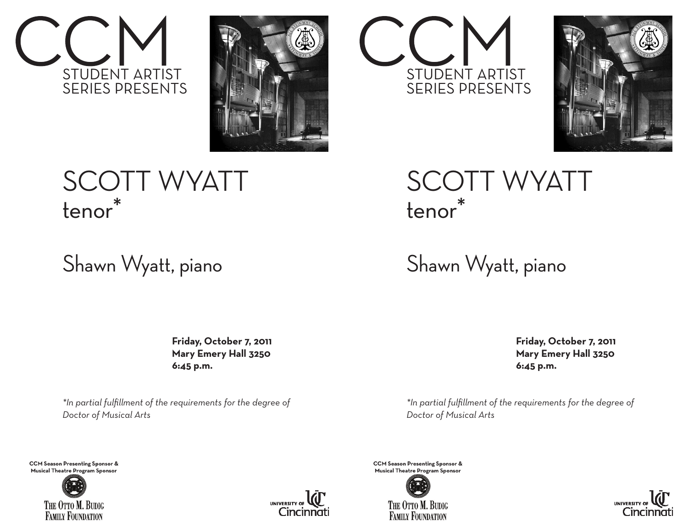



## SCOTT WYATT tenor\*

### Shawn Wyatt, piano

 **Friday, October 7, 2011 Mary Emery Hall 3250 6:45 p.m.**

*\*In partial fulfillment of the requirements for the degree of Doctor of Musical Arts*

**CCM Season Presenting Sponsor & Musical Theatre Program Sponsor**